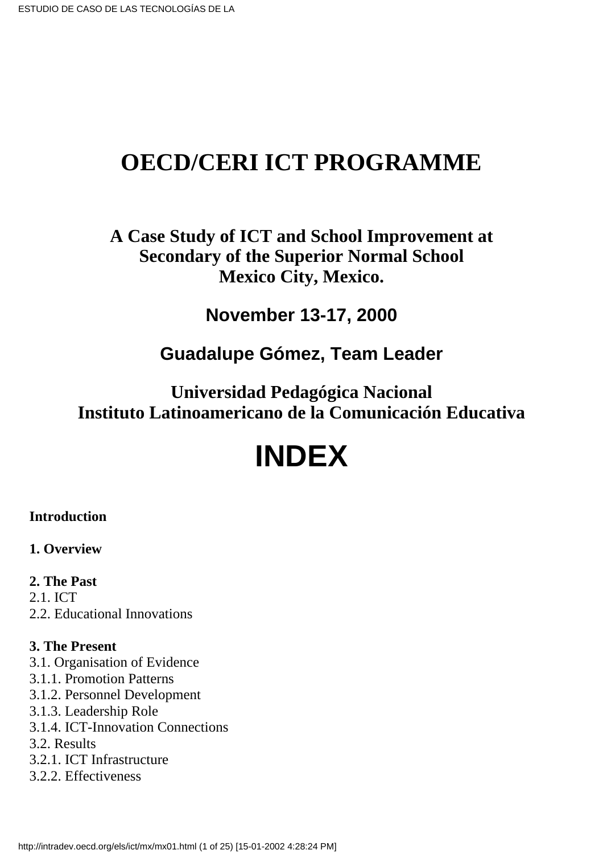### **OECD/CERI ICT PROGRAMME**

**A Case Study of ICT and School Improvement at Secondary of the Superior Normal School Mexico City, Mexico.**

**November 13-17, 2000**

### **Guadalupe Gómez, Team Leader**

### **Universidad Pedagógica Nacional Instituto Latinoamericano de la Comunicación Educativa**

## **INDEX**

### **Introduction**

### **1. Overview**

**2. The Past** 2.1. ICT 2.2. Educational Innovations

### **3. The Present**

3.1. Organisation of Evidence

- 3.1.1. Promotion Patterns
- 3.1.2. Personnel Development
- 3.1.3. Leadership Role
- 3.1.4. ICT-Innovation Connections
- 3.2. Results
- 3.2.1. ICT Infrastructure
- 3.2.2. Effectiveness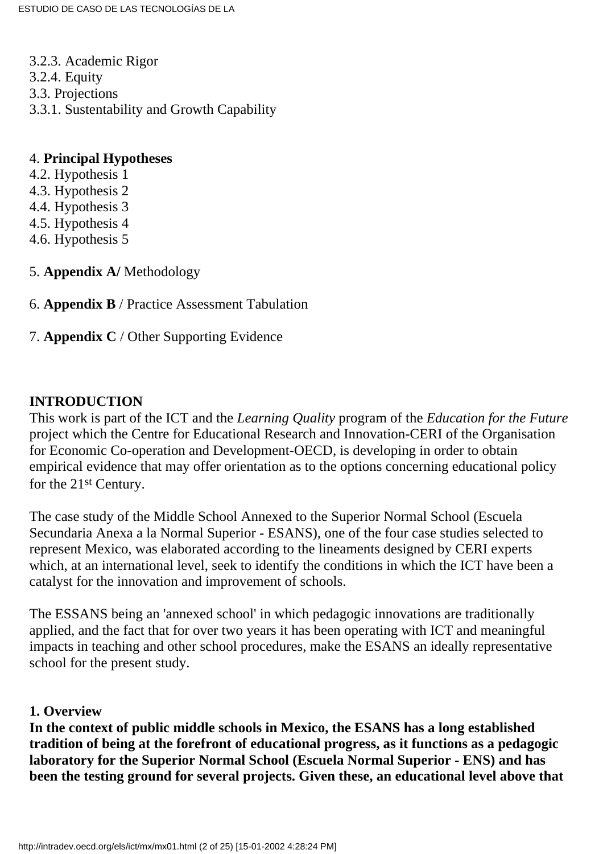- 3.2.3. Academic Rigor
- 3.2.4. Equity
- 3.3. Projections
- 3.3.1. Sustentability and Growth Capability

#### 4. **Principal Hypotheses**

- 4.2. Hypothesis 1
- 4.3. Hypothesis 2
- 4.4. Hypothesis 3
- 4.5. Hypothesis 4
- 4.6. Hypothesis 5
- 5. **Appendix A/** Methodology
- 6. **Appendix B** / Practice Assessment Tabulation
- 7. **Appendix C** / Other Supporting Evidence

### **INTRODUCTION**

This work is part of the ICT and the *Learning Quality* program of the *Education for the Future* project which the Centre for Educational Research and Innovation-CERI of the Organisation for Economic Co-operation and Development-OECD, is developing in order to obtain empirical evidence that may offer orientation as to the options concerning educational policy for the 21st Century.

The case study of the Middle School Annexed to the Superior Normal School (Escuela Secundaria Anexa a la Normal Superior - ESANS), one of the four case studies selected to represent Mexico, was elaborated according to the lineaments designed by CERI experts which, at an international level, seek to identify the conditions in which the ICT have been a catalyst for the innovation and improvement of schools.

The ESSANS being an 'annexed school' in which pedagogic innovations are traditionally applied, and the fact that for over two years it has been operating with ICT and meaningful impacts in teaching and other school procedures, make the ESANS an ideally representative school for the present study.

#### **1. Overview**

**In the context of public middle schools in Mexico, the ESANS has a long established tradition of being at the forefront of educational progress, as it functions as a pedagogic laboratory for the Superior Normal School (Escuela Normal Superior - ENS) and has been the testing ground for several projects. Given these, an educational level above that**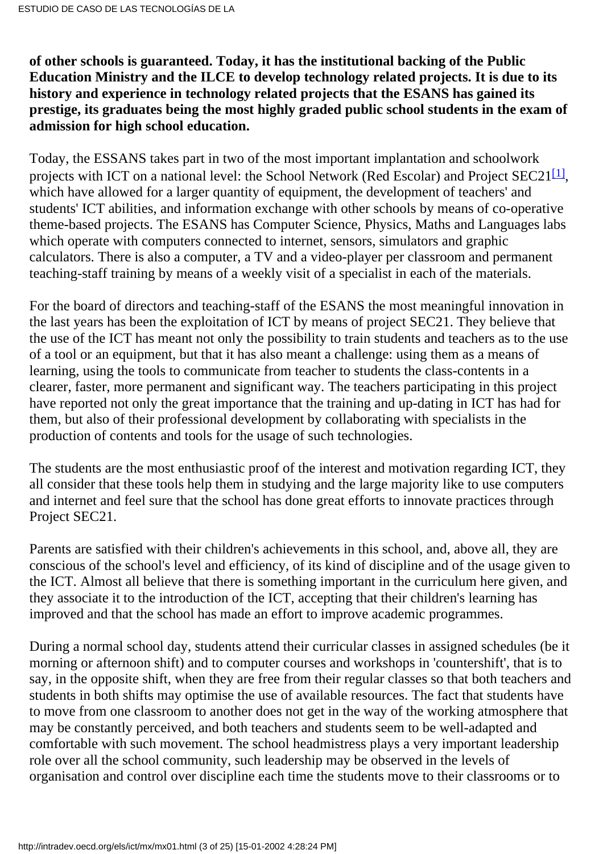**of other schools is guaranteed. Today, it has the institutional backing of the Public Education Ministry and the ILCE to develop technology related projects. It is due to its history and experience in technology related projects that the ESANS has gained its prestige, its graduates being the most highly graded public school students in the exam of admission for high school education.**

<span id="page-2-0"></span>Today, the ESSANS takes part in two of the most important implantation and schoolwork projects with ICT on a national level: the School Network (Red Escolar) and Project  $SEC21^{[1]}$ , which have allowed for a larger quantity of equipment, the development of teachers' and students' ICT abilities, and information exchange with other schools by means of co-operative theme-based projects. The ESANS has Computer Science, Physics, Maths and Languages labs which operate with computers connected to internet, sensors, simulators and graphic calculators. There is also a computer, a TV and a video-player per classroom and permanent teaching-staff training by means of a weekly visit of a specialist in each of the materials.

For the board of directors and teaching-staff of the ESANS the most meaningful innovation in the last years has been the exploitation of ICT by means of project SEC21. They believe that the use of the ICT has meant not only the possibility to train students and teachers as to the use of a tool or an equipment, but that it has also meant a challenge: using them as a means of learning, using the tools to communicate from teacher to students the class-contents in a clearer, faster, more permanent and significant way. The teachers participating in this project have reported not only the great importance that the training and up-dating in ICT has had for them, but also of their professional development by collaborating with specialists in the production of contents and tools for the usage of such technologies.

The students are the most enthusiastic proof of the interest and motivation regarding ICT, they all consider that these tools help them in studying and the large majority like to use computers and internet and feel sure that the school has done great efforts to innovate practices through Project SEC21.

Parents are satisfied with their children's achievements in this school, and, above all, they are conscious of the school's level and efficiency, of its kind of discipline and of the usage given to the ICT. Almost all believe that there is something important in the curriculum here given, and they associate it to the introduction of the ICT, accepting that their children's learning has improved and that the school has made an effort to improve academic programmes.

During a normal school day, students attend their curricular classes in assigned schedules (be it morning or afternoon shift) and to computer courses and workshops in 'countershift', that is to say, in the opposite shift, when they are free from their regular classes so that both teachers and students in both shifts may optimise the use of available resources. The fact that students have to move from one classroom to another does not get in the way of the working atmosphere that may be constantly perceived, and both teachers and students seem to be well-adapted and comfortable with such movement. The school headmistress plays a very important leadership role over all the school community, such leadership may be observed in the levels of organisation and control over discipline each time the students move to their classrooms or to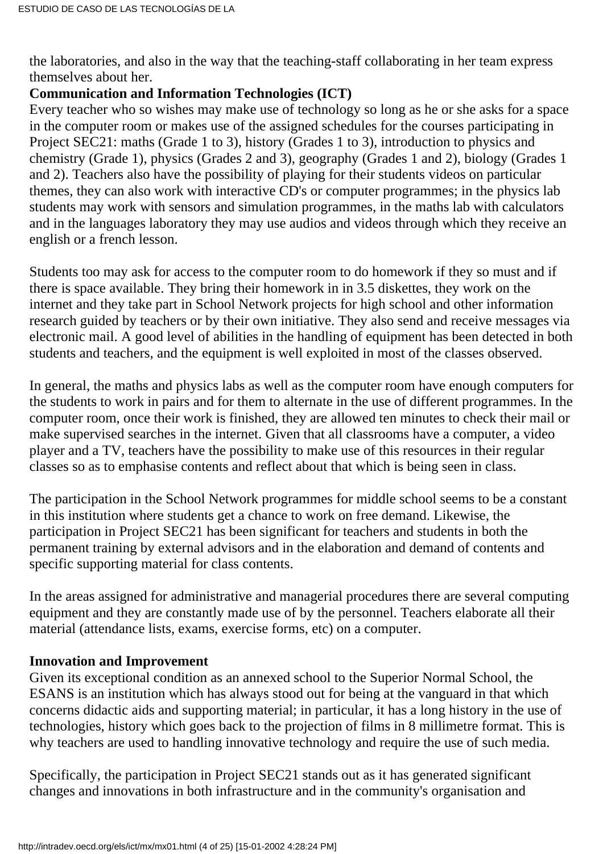the laboratories, and also in the way that the teaching-staff collaborating in her team express themselves about her.

### **Communication and Information Technologies (ICT)**

Every teacher who so wishes may make use of technology so long as he or she asks for a space in the computer room or makes use of the assigned schedules for the courses participating in Project SEC21: maths (Grade 1 to 3), history (Grades 1 to 3), introduction to physics and chemistry (Grade 1), physics (Grades 2 and 3), geography (Grades 1 and 2), biology (Grades 1 and 2). Teachers also have the possibility of playing for their students videos on particular themes, they can also work with interactive CD's or computer programmes; in the physics lab students may work with sensors and simulation programmes, in the maths lab with calculators and in the languages laboratory they may use audios and videos through which they receive an english or a french lesson.

Students too may ask for access to the computer room to do homework if they so must and if there is space available. They bring their homework in in 3.5 diskettes, they work on the internet and they take part in School Network projects for high school and other information research guided by teachers or by their own initiative. They also send and receive messages via electronic mail. A good level of abilities in the handling of equipment has been detected in both students and teachers, and the equipment is well exploited in most of the classes observed.

In general, the maths and physics labs as well as the computer room have enough computers for the students to work in pairs and for them to alternate in the use of different programmes. In the computer room, once their work is finished, they are allowed ten minutes to check their mail or make supervised searches in the internet. Given that all classrooms have a computer, a video player and a TV, teachers have the possibility to make use of this resources in their regular classes so as to emphasise contents and reflect about that which is being seen in class.

The participation in the School Network programmes for middle school seems to be a constant in this institution where students get a chance to work on free demand. Likewise, the participation in Project SEC21 has been significant for teachers and students in both the permanent training by external advisors and in the elaboration and demand of contents and specific supporting material for class contents.

In the areas assigned for administrative and managerial procedures there are several computing equipment and they are constantly made use of by the personnel. Teachers elaborate all their material (attendance lists, exams, exercise forms, etc) on a computer.

### **Innovation and Improvement**

Given its exceptional condition as an annexed school to the Superior Normal School, the ESANS is an institution which has always stood out for being at the vanguard in that which concerns didactic aids and supporting material; in particular, it has a long history in the use of technologies, history which goes back to the projection of films in 8 millimetre format. This is why teachers are used to handling innovative technology and require the use of such media.

Specifically, the participation in Project SEC21 stands out as it has generated significant changes and innovations in both infrastructure and in the community's organisation and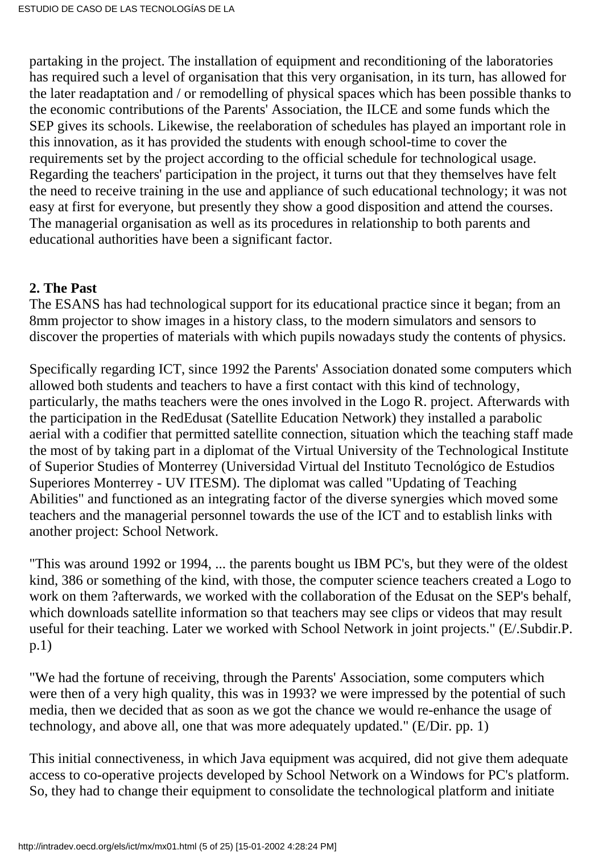partaking in the project. The installation of equipment and reconditioning of the laboratories has required such a level of organisation that this very organisation, in its turn, has allowed for the later readaptation and / or remodelling of physical spaces which has been possible thanks to the economic contributions of the Parents' Association, the ILCE and some funds which the SEP gives its schools. Likewise, the reelaboration of schedules has played an important role in this innovation, as it has provided the students with enough school-time to cover the requirements set by the project according to the official schedule for technological usage. Regarding the teachers' participation in the project, it turns out that they themselves have felt the need to receive training in the use and appliance of such educational technology; it was not easy at first for everyone, but presently they show a good disposition and attend the courses. The managerial organisation as well as its procedures in relationship to both parents and educational authorities have been a significant factor.

### **2. The Past**

The ESANS has had technological support for its educational practice since it began; from an 8mm projector to show images in a history class, to the modern simulators and sensors to discover the properties of materials with which pupils nowadays study the contents of physics.

Specifically regarding ICT, since 1992 the Parents' Association donated some computers which allowed both students and teachers to have a first contact with this kind of technology, particularly, the maths teachers were the ones involved in the Logo R. project. Afterwards with the participation in the RedEdusat (Satellite Education Network) they installed a parabolic aerial with a codifier that permitted satellite connection, situation which the teaching staff made the most of by taking part in a diplomat of the Virtual University of the Technological Institute of Superior Studies of Monterrey (Universidad Virtual del Instituto Tecnológico de Estudios Superiores Monterrey - UV ITESM). The diplomat was called "Updating of Teaching Abilities" and functioned as an integrating factor of the diverse synergies which moved some teachers and the managerial personnel towards the use of the ICT and to establish links with another project: School Network.

"This was around 1992 or 1994, ... the parents bought us IBM PC's, but they were of the oldest kind, 386 or something of the kind, with those, the computer science teachers created a Logo to work on them ?afterwards, we worked with the collaboration of the Edusat on the SEP's behalf, which downloads satellite information so that teachers may see clips or videos that may result useful for their teaching. Later we worked with School Network in joint projects." (E/.Subdir.P. p.1)

"We had the fortune of receiving, through the Parents' Association, some computers which were then of a very high quality, this was in 1993? we were impressed by the potential of such media, then we decided that as soon as we got the chance we would re-enhance the usage of technology, and above all, one that was more adequately updated." (E/Dir. pp. 1)

This initial connectiveness, in which Java equipment was acquired, did not give them adequate access to co-operative projects developed by School Network on a Windows for PC's platform. So, they had to change their equipment to consolidate the technological platform and initiate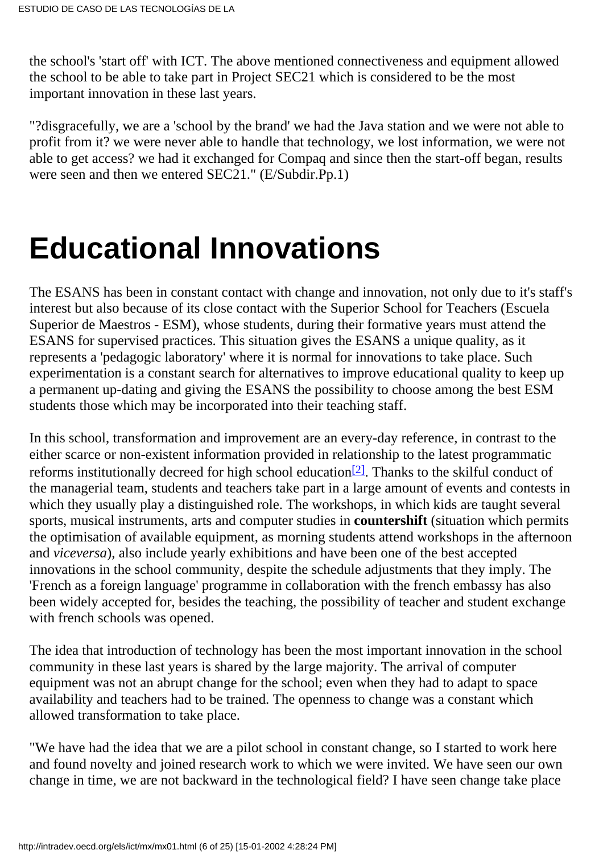the school's 'start off' with ICT. The above mentioned connectiveness and equipment allowed the school to be able to take part in Project SEC21 which is considered to be the most important innovation in these last years.

"?disgracefully, we are a 'school by the brand' we had the Java station and we were not able to profit from it? we were never able to handle that technology, we lost information, we were not able to get access? we had it exchanged for Compaq and since then the start-off began, results were seen and then we entered SEC21." (E/Subdir.Pp.1)

## **Educational Innovations**

The ESANS has been in constant contact with change and innovation, not only due to it's staff's interest but also because of its close contact with the Superior School for Teachers (Escuela Superior de Maestros - ESM), whose students, during their formative years must attend the ESANS for supervised practices. This situation gives the ESANS a unique quality, as it represents a 'pedagogic laboratory' where it is normal for innovations to take place. Such experimentation is a constant search for alternatives to improve educational quality to keep up a permanent up-dating and giving the ESANS the possibility to choose among the best ESM students those which may be incorporated into their teaching staff.

<span id="page-5-0"></span>In this school, transformation and improvement are an every-day reference, in contrast to the either scarce or non-existent information provided in relationship to the latest programmatic reforms institutionally decreed for high school education<sup>[2]</sup>. Thanks to the skilful conduct of the managerial team, students and teachers take part in a large amount of events and contests in which they usually play a distinguished role. The workshops, in which kids are taught several sports, musical instruments, arts and computer studies in **countershift** (situation which permits the optimisation of available equipment, as morning students attend workshops in the afternoon and *viceversa*), also include yearly exhibitions and have been one of the best accepted innovations in the school community, despite the schedule adjustments that they imply. The 'French as a foreign language' programme in collaboration with the french embassy has also been widely accepted for, besides the teaching, the possibility of teacher and student exchange with french schools was opened.

The idea that introduction of technology has been the most important innovation in the school community in these last years is shared by the large majority. The arrival of computer equipment was not an abrupt change for the school; even when they had to adapt to space availability and teachers had to be trained. The openness to change was a constant which allowed transformation to take place.

"We have had the idea that we are a pilot school in constant change, so I started to work here and found novelty and joined research work to which we were invited. We have seen our own change in time, we are not backward in the technological field? I have seen change take place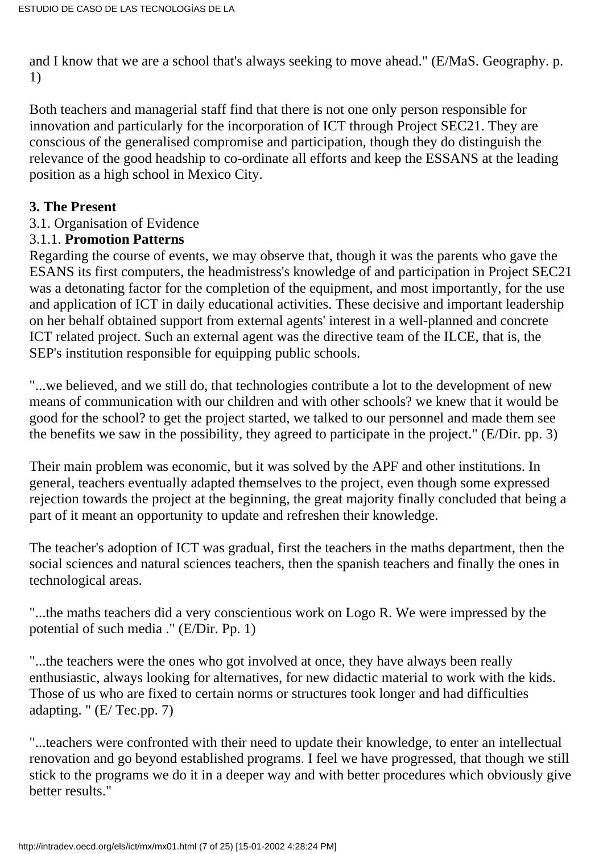and I know that we are a school that's always seeking to move ahead." (E/MaS. Geography. p. 1)

Both teachers and managerial staff find that there is not one only person responsible for innovation and particularly for the incorporation of ICT through Project SEC21. They are conscious of the generalised compromise and participation, though they do distinguish the relevance of the good headship to co-ordinate all efforts and keep the ESSANS at the leading position as a high school in Mexico City.

### **3. The Present**

3.1. Organisation of Evidence

### 3.1.1. **Promotion Patterns**

Regarding the course of events, we may observe that, though it was the parents who gave the ESANS its first computers, the headmistress's knowledge of and participation in Project SEC21 was a detonating factor for the completion of the equipment, and most importantly, for the use and application of ICT in daily educational activities. These decisive and important leadership on her behalf obtained support from external agents' interest in a well-planned and concrete ICT related project. Such an external agent was the directive team of the ILCE, that is, the SEP's institution responsible for equipping public schools.

"...we believed, and we still do, that technologies contribute a lot to the development of new means of communication with our children and with other schools? we knew that it would be good for the school? to get the project started, we talked to our personnel and made them see the benefits we saw in the possibility, they agreed to participate in the project." (E/Dir. pp. 3)

Their main problem was economic, but it was solved by the APF and other institutions. In general, teachers eventually adapted themselves to the project, even though some expressed rejection towards the project at the beginning, the great majority finally concluded that being a part of it meant an opportunity to update and refreshen their knowledge.

The teacher's adoption of ICT was gradual, first the teachers in the maths department, then the social sciences and natural sciences teachers, then the spanish teachers and finally the ones in technological areas.

"...the maths teachers did a very conscientious work on Logo R. We were impressed by the potential of such media ." (E/Dir. Pp. 1)

"...the teachers were the ones who got involved at once, they have always been really enthusiastic, always looking for alternatives, for new didactic material to work with the kids. Those of us who are fixed to certain norms or structures took longer and had difficulties adapting. " (E/ Tec.pp. 7)

"...teachers were confronted with their need to update their knowledge, to enter an intellectual renovation and go beyond established programs. I feel we have progressed, that though we still stick to the programs we do it in a deeper way and with better procedures which obviously give better results."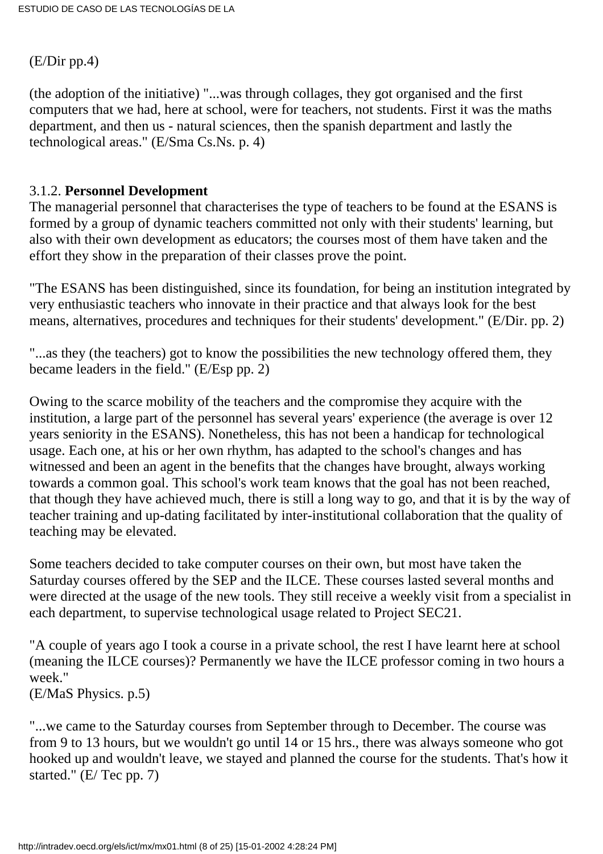(E/Dir pp.4)

(the adoption of the initiative) "...was through collages, they got organised and the first computers that we had, here at school, were for teachers, not students. First it was the maths department, and then us - natural sciences, then the spanish department and lastly the technological areas." (E/Sma Cs.Ns. p. 4)

### 3.1.2. **Personnel Development**

The managerial personnel that characterises the type of teachers to be found at the ESANS is formed by a group of dynamic teachers committed not only with their students' learning, but also with their own development as educators; the courses most of them have taken and the effort they show in the preparation of their classes prove the point.

"The ESANS has been distinguished, since its foundation, for being an institution integrated by very enthusiastic teachers who innovate in their practice and that always look for the best means, alternatives, procedures and techniques for their students' development." (E/Dir. pp. 2)

"...as they (the teachers) got to know the possibilities the new technology offered them, they became leaders in the field." (E/Esp pp. 2)

Owing to the scarce mobility of the teachers and the compromise they acquire with the institution, a large part of the personnel has several years' experience (the average is over 12 years seniority in the ESANS). Nonetheless, this has not been a handicap for technological usage. Each one, at his or her own rhythm, has adapted to the school's changes and has witnessed and been an agent in the benefits that the changes have brought, always working towards a common goal. This school's work team knows that the goal has not been reached, that though they have achieved much, there is still a long way to go, and that it is by the way of teacher training and up-dating facilitated by inter-institutional collaboration that the quality of teaching may be elevated.

Some teachers decided to take computer courses on their own, but most have taken the Saturday courses offered by the SEP and the ILCE. These courses lasted several months and were directed at the usage of the new tools. They still receive a weekly visit from a specialist in each department, to supervise technological usage related to Project SEC21.

"A couple of years ago I took a course in a private school, the rest I have learnt here at school (meaning the ILCE courses)? Permanently we have the ILCE professor coming in two hours a week."

(E/MaS Physics. p.5)

"...we came to the Saturday courses from September through to December. The course was from 9 to 13 hours, but we wouldn't go until 14 or 15 hrs., there was always someone who got hooked up and wouldn't leave, we stayed and planned the course for the students. That's how it started." (E/ Tec pp. 7)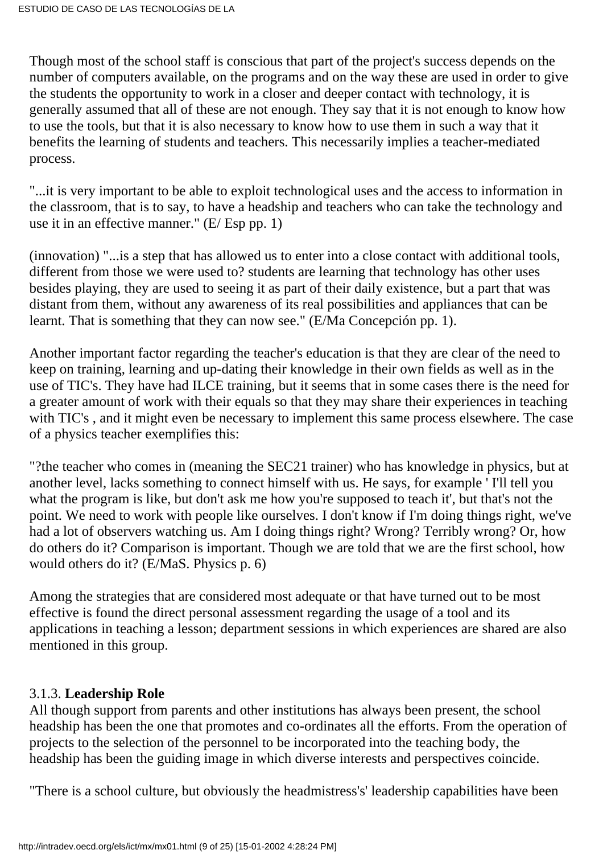Though most of the school staff is conscious that part of the project's success depends on the number of computers available, on the programs and on the way these are used in order to give the students the opportunity to work in a closer and deeper contact with technology, it is generally assumed that all of these are not enough. They say that it is not enough to know how to use the tools, but that it is also necessary to know how to use them in such a way that it benefits the learning of students and teachers. This necessarily implies a teacher-mediated process.

"...it is very important to be able to exploit technological uses and the access to information in the classroom, that is to say, to have a headship and teachers who can take the technology and use it in an effective manner." (E/ Esp pp. 1)

(innovation) "...is a step that has allowed us to enter into a close contact with additional tools, different from those we were used to? students are learning that technology has other uses besides playing, they are used to seeing it as part of their daily existence, but a part that was distant from them, without any awareness of its real possibilities and appliances that can be learnt. That is something that they can now see." (E/Ma Concepción pp. 1).

Another important factor regarding the teacher's education is that they are clear of the need to keep on training, learning and up-dating their knowledge in their own fields as well as in the use of TIC's. They have had ILCE training, but it seems that in some cases there is the need for a greater amount of work with their equals so that they may share their experiences in teaching with TIC's , and it might even be necessary to implement this same process elsewhere. The case of a physics teacher exemplifies this:

"?the teacher who comes in (meaning the SEC21 trainer) who has knowledge in physics, but at another level, lacks something to connect himself with us. He says, for example ' I'll tell you what the program is like, but don't ask me how you're supposed to teach it', but that's not the point. We need to work with people like ourselves. I don't know if I'm doing things right, we've had a lot of observers watching us. Am I doing things right? Wrong? Terribly wrong? Or, how do others do it? Comparison is important. Though we are told that we are the first school, how would others do it? (E/MaS. Physics p. 6)

Among the strategies that are considered most adequate or that have turned out to be most effective is found the direct personal assessment regarding the usage of a tool and its applications in teaching a lesson; department sessions in which experiences are shared are also mentioned in this group.

### 3.1.3. **Leadership Role**

All though support from parents and other institutions has always been present, the school headship has been the one that promotes and co-ordinates all the efforts. From the operation of projects to the selection of the personnel to be incorporated into the teaching body, the headship has been the guiding image in which diverse interests and perspectives coincide.

"There is a school culture, but obviously the headmistress's' leadership capabilities have been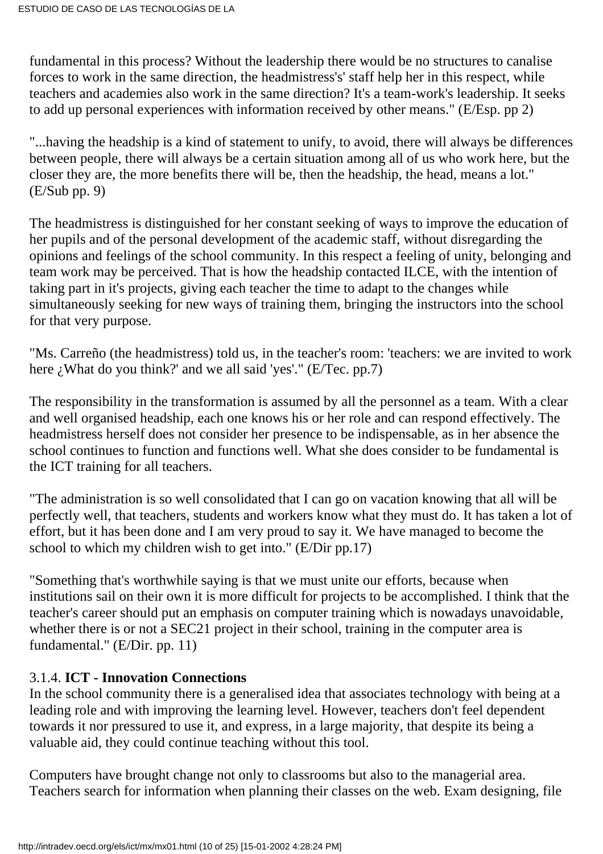fundamental in this process? Without the leadership there would be no structures to canalise forces to work in the same direction, the headmistress's' staff help her in this respect, while teachers and academies also work in the same direction? It's a team-work's leadership. It seeks to add up personal experiences with information received by other means." (E/Esp. pp 2)

"...having the headship is a kind of statement to unify, to avoid, there will always be differences between people, there will always be a certain situation among all of us who work here, but the closer they are, the more benefits there will be, then the headship, the head, means a lot." (E/Sub pp. 9)

The headmistress is distinguished for her constant seeking of ways to improve the education of her pupils and of the personal development of the academic staff, without disregarding the opinions and feelings of the school community. In this respect a feeling of unity, belonging and team work may be perceived. That is how the headship contacted ILCE, with the intention of taking part in it's projects, giving each teacher the time to adapt to the changes while simultaneously seeking for new ways of training them, bringing the instructors into the school for that very purpose.

"Ms. Carreño (the headmistress) told us, in the teacher's room: 'teachers: we are invited to work here *i* What do you think?' and we all said 'yes'.'' (E/Tec. pp.7)

The responsibility in the transformation is assumed by all the personnel as a team. With a clear and well organised headship, each one knows his or her role and can respond effectively. The headmistress herself does not consider her presence to be indispensable, as in her absence the school continues to function and functions well. What she does consider to be fundamental is the ICT training for all teachers.

"The administration is so well consolidated that I can go on vacation knowing that all will be perfectly well, that teachers, students and workers know what they must do. It has taken a lot of effort, but it has been done and I am very proud to say it. We have managed to become the school to which my children wish to get into." (E/Dir pp.17)

"Something that's worthwhile saying is that we must unite our efforts, because when institutions sail on their own it is more difficult for projects to be accomplished. I think that the teacher's career should put an emphasis on computer training which is nowadays unavoidable, whether there is or not a SEC21 project in their school, training in the computer area is fundamental." (E/Dir. pp. 11)

### 3.1.4. **ICT - Innovation Connections**

In the school community there is a generalised idea that associates technology with being at a leading role and with improving the learning level. However, teachers don't feel dependent towards it nor pressured to use it, and express, in a large majority, that despite its being a valuable aid, they could continue teaching without this tool.

Computers have brought change not only to classrooms but also to the managerial area. Teachers search for information when planning their classes on the web. Exam designing, file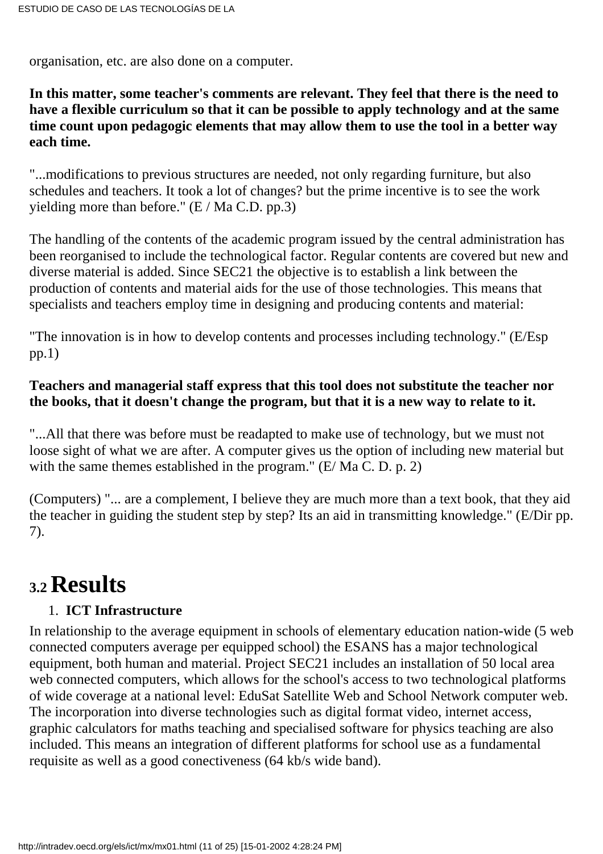organisation, etc. are also done on a computer.

**In this matter, some teacher's comments are relevant. They feel that there is the need to have a flexible curriculum so that it can be possible to apply technology and at the same time count upon pedagogic elements that may allow them to use the tool in a better way each time.**

"...modifications to previous structures are needed, not only regarding furniture, but also schedules and teachers. It took a lot of changes? but the prime incentive is to see the work yielding more than before." (E / Ma C.D. pp.3)

The handling of the contents of the academic program issued by the central administration has been reorganised to include the technological factor. Regular contents are covered but new and diverse material is added. Since SEC21 the objective is to establish a link between the production of contents and material aids for the use of those technologies. This means that specialists and teachers employ time in designing and producing contents and material:

"The innovation is in how to develop contents and processes including technology." (E/Esp  $pp.1)$ 

### **Teachers and managerial staff express that this tool does not substitute the teacher nor the books, that it doesn't change the program, but that it is a new way to relate to it.**

"...All that there was before must be readapted to make use of technology, but we must not loose sight of what we are after. A computer gives us the option of including new material but with the same themes established in the program." (E/ Ma C. D. p. 2)

(Computers) "... are a complement, I believe they are much more than a text book, that they aid the teacher in guiding the student step by step? Its an aid in transmitting knowledge." (E/Dir pp. 7).

### **3.2 Results**

### 1. **ICT Infrastructure**

In relationship to the average equipment in schools of elementary education nation-wide (5 web connected computers average per equipped school) the ESANS has a major technological equipment, both human and material. Project SEC21 includes an installation of 50 local area web connected computers, which allows for the school's access to two technological platforms of wide coverage at a national level: EduSat Satellite Web and School Network computer web. The incorporation into diverse technologies such as digital format video, internet access, graphic calculators for maths teaching and specialised software for physics teaching are also included. This means an integration of different platforms for school use as a fundamental requisite as well as a good conectiveness (64 kb/s wide band).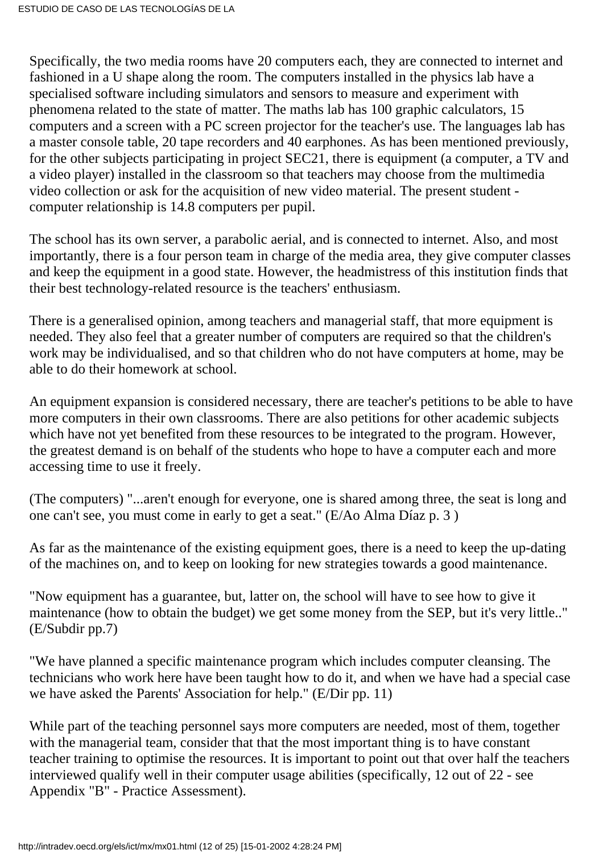Specifically, the two media rooms have 20 computers each, they are connected to internet and fashioned in a U shape along the room. The computers installed in the physics lab have a specialised software including simulators and sensors to measure and experiment with phenomena related to the state of matter. The maths lab has 100 graphic calculators, 15 computers and a screen with a PC screen projector for the teacher's use. The languages lab has a master console table, 20 tape recorders and 40 earphones. As has been mentioned previously, for the other subjects participating in project SEC21, there is equipment (a computer, a TV and a video player) installed in the classroom so that teachers may choose from the multimedia video collection or ask for the acquisition of new video material. The present student computer relationship is 14.8 computers per pupil.

The school has its own server, a parabolic aerial, and is connected to internet. Also, and most importantly, there is a four person team in charge of the media area, they give computer classes and keep the equipment in a good state. However, the headmistress of this institution finds that their best technology-related resource is the teachers' enthusiasm.

There is a generalised opinion, among teachers and managerial staff, that more equipment is needed. They also feel that a greater number of computers are required so that the children's work may be individualised, and so that children who do not have computers at home, may be able to do their homework at school.

An equipment expansion is considered necessary, there are teacher's petitions to be able to have more computers in their own classrooms. There are also petitions for other academic subjects which have not yet benefited from these resources to be integrated to the program. However, the greatest demand is on behalf of the students who hope to have a computer each and more accessing time to use it freely.

(The computers) "...aren't enough for everyone, one is shared among three, the seat is long and one can't see, you must come in early to get a seat." (E/Ao Alma Díaz p. 3 )

As far as the maintenance of the existing equipment goes, there is a need to keep the up-dating of the machines on, and to keep on looking for new strategies towards a good maintenance.

"Now equipment has a guarantee, but, latter on, the school will have to see how to give it maintenance (how to obtain the budget) we get some money from the SEP, but it's very little.." (E/Subdir pp.7)

"We have planned a specific maintenance program which includes computer cleansing. The technicians who work here have been taught how to do it, and when we have had a special case we have asked the Parents' Association for help." (E/Dir pp. 11)

While part of the teaching personnel says more computers are needed, most of them, together with the managerial team, consider that that the most important thing is to have constant teacher training to optimise the resources. It is important to point out that over half the teachers interviewed qualify well in their computer usage abilities (specifically, 12 out of 22 - see Appendix "B" - Practice Assessment).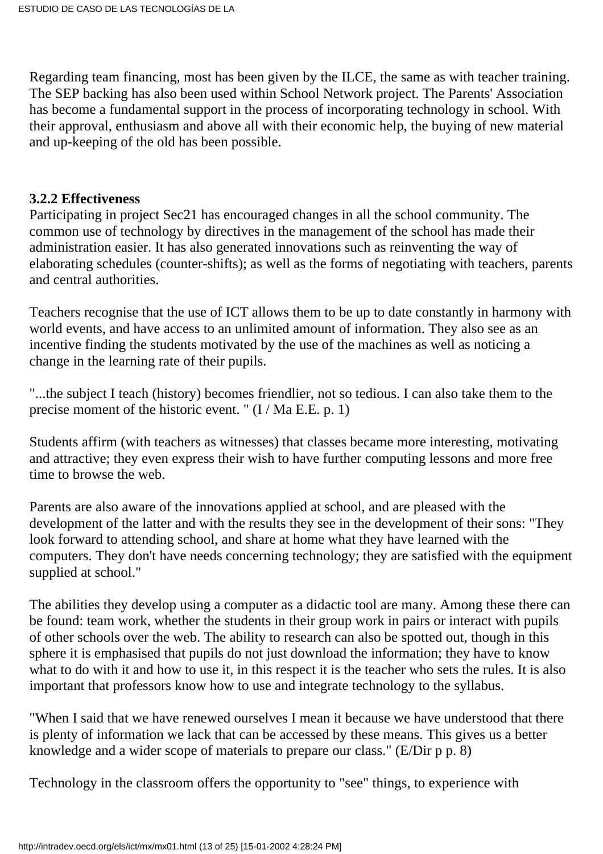Regarding team financing, most has been given by the ILCE, the same as with teacher training. The SEP backing has also been used within School Network project. The Parents' Association has become a fundamental support in the process of incorporating technology in school. With their approval, enthusiasm and above all with their economic help, the buying of new material and up-keeping of the old has been possible.

### **3.2.2 Effectiveness**

Participating in project Sec21 has encouraged changes in all the school community. The common use of technology by directives in the management of the school has made their administration easier. It has also generated innovations such as reinventing the way of elaborating schedules (counter-shifts); as well as the forms of negotiating with teachers, parents and central authorities.

Teachers recognise that the use of ICT allows them to be up to date constantly in harmony with world events, and have access to an unlimited amount of information. They also see as an incentive finding the students motivated by the use of the machines as well as noticing a change in the learning rate of their pupils.

"...the subject I teach (history) becomes friendlier, not so tedious. I can also take them to the precise moment of the historic event. " (I / Ma E.E. p. 1)

Students affirm (with teachers as witnesses) that classes became more interesting, motivating and attractive; they even express their wish to have further computing lessons and more free time to browse the web.

Parents are also aware of the innovations applied at school, and are pleased with the development of the latter and with the results they see in the development of their sons: "They look forward to attending school, and share at home what they have learned with the computers. They don't have needs concerning technology; they are satisfied with the equipment supplied at school."

The abilities they develop using a computer as a didactic tool are many. Among these there can be found: team work, whether the students in their group work in pairs or interact with pupils of other schools over the web. The ability to research can also be spotted out, though in this sphere it is emphasised that pupils do not just download the information; they have to know what to do with it and how to use it, in this respect it is the teacher who sets the rules. It is also important that professors know how to use and integrate technology to the syllabus.

"When I said that we have renewed ourselves I mean it because we have understood that there is plenty of information we lack that can be accessed by these means. This gives us a better knowledge and a wider scope of materials to prepare our class." (E/Dir p p. 8)

Technology in the classroom offers the opportunity to "see" things, to experience with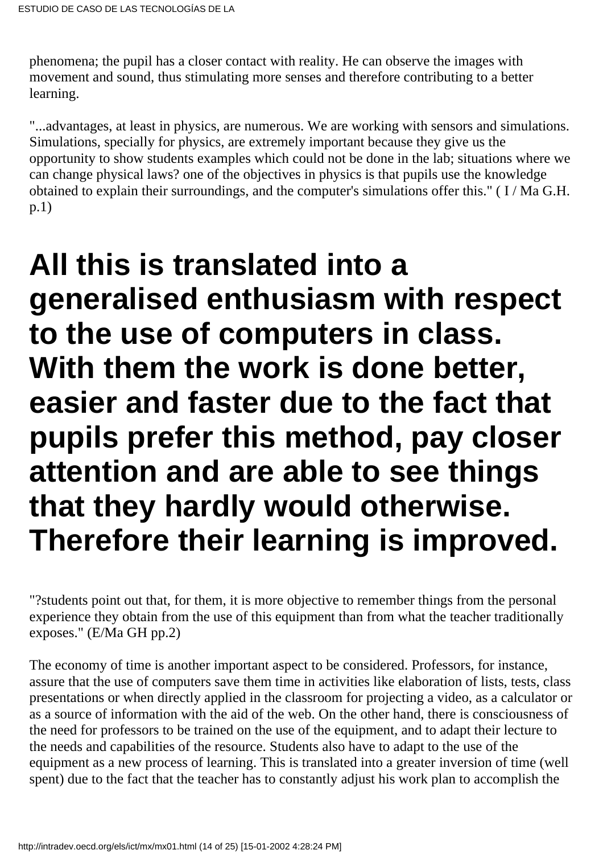phenomena; the pupil has a closer contact with reality. He can observe the images with movement and sound, thus stimulating more senses and therefore contributing to a better learning.

"...advantages, at least in physics, are numerous. We are working with sensors and simulations. Simulations, specially for physics, are extremely important because they give us the opportunity to show students examples which could not be done in the lab; situations where we can change physical laws? one of the objectives in physics is that pupils use the knowledge obtained to explain their surroundings, and the computer's simulations offer this." ( I / Ma G.H. p.1)

## **All this is translated into a generalised enthusiasm with respect to the use of computers in class. With them the work is done better, easier and faster due to the fact that pupils prefer this method, pay closer attention and are able to see things that they hardly would otherwise. Therefore their learning is improved.**

"?students point out that, for them, it is more objective to remember things from the personal experience they obtain from the use of this equipment than from what the teacher traditionally exposes." (E/Ma GH pp.2)

The economy of time is another important aspect to be considered. Professors, for instance, assure that the use of computers save them time in activities like elaboration of lists, tests, class presentations or when directly applied in the classroom for projecting a video, as a calculator or as a source of information with the aid of the web. On the other hand, there is consciousness of the need for professors to be trained on the use of the equipment, and to adapt their lecture to the needs and capabilities of the resource. Students also have to adapt to the use of the equipment as a new process of learning. This is translated into a greater inversion of time (well spent) due to the fact that the teacher has to constantly adjust his work plan to accomplish the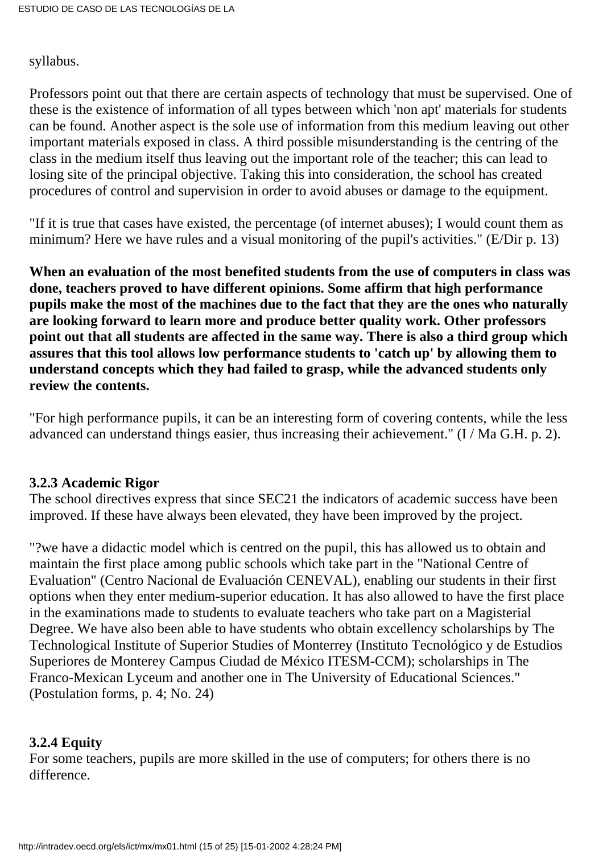syllabus.

Professors point out that there are certain aspects of technology that must be supervised. One of these is the existence of information of all types between which 'non apt' materials for students can be found. Another aspect is the sole use of information from this medium leaving out other important materials exposed in class. A third possible misunderstanding is the centring of the class in the medium itself thus leaving out the important role of the teacher; this can lead to losing site of the principal objective. Taking this into consideration, the school has created procedures of control and supervision in order to avoid abuses or damage to the equipment.

"If it is true that cases have existed, the percentage (of internet abuses); I would count them as minimum? Here we have rules and a visual monitoring of the pupil's activities." (E/Dir p. 13)

**When an evaluation of the most benefited students from the use of computers in class was done, teachers proved to have different opinions. Some affirm that high performance pupils make the most of the machines due to the fact that they are the ones who naturally are looking forward to learn more and produce better quality work. Other professors point out that all students are affected in the same way. There is also a third group which assures that this tool allows low performance students to 'catch up' by allowing them to understand concepts which they had failed to grasp, while the advanced students only review the contents.**

"For high performance pupils, it can be an interesting form of covering contents, while the less advanced can understand things easier, thus increasing their achievement." (I / Ma G.H. p. 2).

### **3.2.3 Academic Rigor**

The school directives express that since SEC21 the indicators of academic success have been improved. If these have always been elevated, they have been improved by the project.

"?we have a didactic model which is centred on the pupil, this has allowed us to obtain and maintain the first place among public schools which take part in the "National Centre of Evaluation" (Centro Nacional de Evaluación CENEVAL), enabling our students in their first options when they enter medium-superior education. It has also allowed to have the first place in the examinations made to students to evaluate teachers who take part on a Magisterial Degree. We have also been able to have students who obtain excellency scholarships by The Technological Institute of Superior Studies of Monterrey (Instituto Tecnológico y de Estudios Superiores de Monterey Campus Ciudad de México ITESM-CCM); scholarships in The Franco-Mexican Lyceum and another one in The University of Educational Sciences." (Postulation forms, p. 4; No. 24)

### **3.2.4 Equity**

For some teachers, pupils are more skilled in the use of computers; for others there is no difference.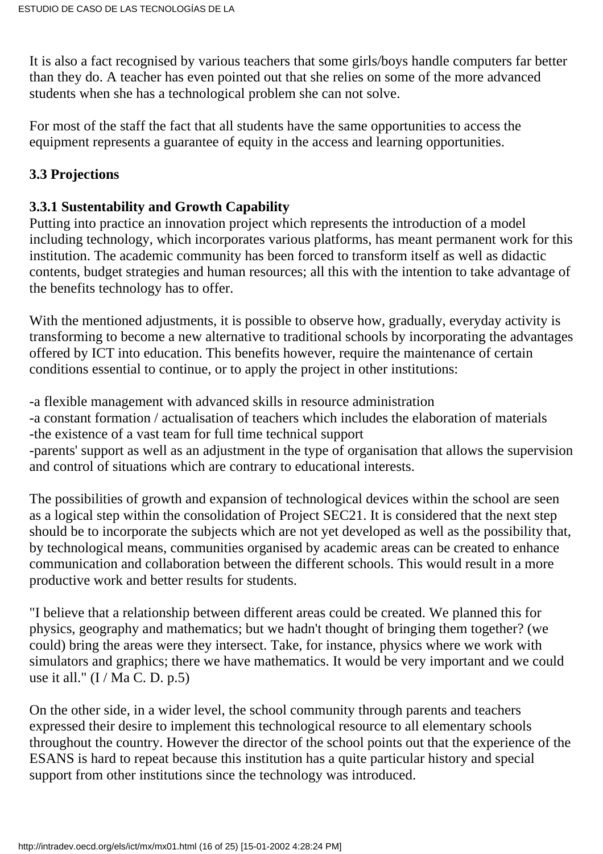It is also a fact recognised by various teachers that some girls/boys handle computers far better than they do. A teacher has even pointed out that she relies on some of the more advanced students when she has a technological problem she can not solve.

For most of the staff the fact that all students have the same opportunities to access the equipment represents a guarantee of equity in the access and learning opportunities.

### **3.3 Projections**

### **3.3.1 Sustentability and Growth Capability**

Putting into practice an innovation project which represents the introduction of a model including technology, which incorporates various platforms, has meant permanent work for this institution. The academic community has been forced to transform itself as well as didactic contents, budget strategies and human resources; all this with the intention to take advantage of the benefits technology has to offer.

With the mentioned adjustments, it is possible to observe how, gradually, everyday activity is transforming to become a new alternative to traditional schools by incorporating the advantages offered by ICT into education. This benefits however, require the maintenance of certain conditions essential to continue, or to apply the project in other institutions:

-a flexible management with advanced skills in resource administration

-a constant formation / actualisation of teachers which includes the elaboration of materials -the existence of a vast team for full time technical support

-parents' support as well as an adjustment in the type of organisation that allows the supervision and control of situations which are contrary to educational interests.

The possibilities of growth and expansion of technological devices within the school are seen as a logical step within the consolidation of Project SEC21. It is considered that the next step should be to incorporate the subjects which are not yet developed as well as the possibility that, by technological means, communities organised by academic areas can be created to enhance communication and collaboration between the different schools. This would result in a more productive work and better results for students.

"I believe that a relationship between different areas could be created. We planned this for physics, geography and mathematics; but we hadn't thought of bringing them together? (we could) bring the areas were they intersect. Take, for instance, physics where we work with simulators and graphics; there we have mathematics. It would be very important and we could use it all." (I / Ma C. D. p.5)

On the other side, in a wider level, the school community through parents and teachers expressed their desire to implement this technological resource to all elementary schools throughout the country. However the director of the school points out that the experience of the ESANS is hard to repeat because this institution has a quite particular history and special support from other institutions since the technology was introduced.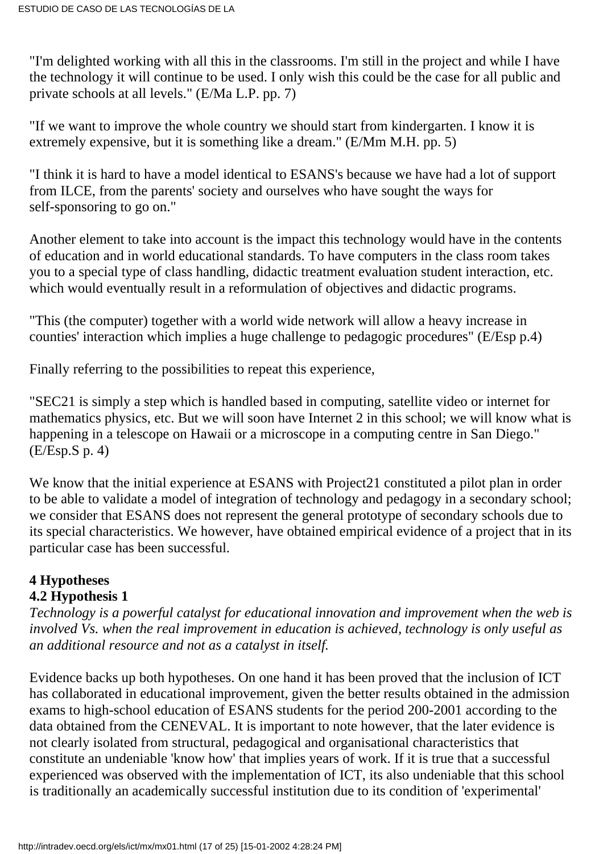"I'm delighted working with all this in the classrooms. I'm still in the project and while I have the technology it will continue to be used. I only wish this could be the case for all public and private schools at all levels." (E/Ma L.P. pp. 7)

"If we want to improve the whole country we should start from kindergarten. I know it is extremely expensive, but it is something like a dream." (E/Mm M.H. pp. 5)

"I think it is hard to have a model identical to ESANS's because we have had a lot of support from ILCE, from the parents' society and ourselves who have sought the ways for self-sponsoring to go on."

Another element to take into account is the impact this technology would have in the contents of education and in world educational standards. To have computers in the class room takes you to a special type of class handling, didactic treatment evaluation student interaction, etc. which would eventually result in a reformulation of objectives and didactic programs.

"This (the computer) together with a world wide network will allow a heavy increase in counties' interaction which implies a huge challenge to pedagogic procedures" (E/Esp p.4)

Finally referring to the possibilities to repeat this experience,

"SEC21 is simply a step which is handled based in computing, satellite video or internet for mathematics physics, etc. But we will soon have Internet 2 in this school; we will know what is happening in a telescope on Hawaii or a microscope in a computing centre in San Diego." (E/Esp.S p. 4)

We know that the initial experience at ESANS with Project21 constituted a pilot plan in order to be able to validate a model of integration of technology and pedagogy in a secondary school; we consider that ESANS does not represent the general prototype of secondary schools due to its special characteristics. We however, have obtained empirical evidence of a project that in its particular case has been successful.

### **4 Hypotheses 4.2 Hypothesis 1**

*Technology is a powerful catalyst for educational innovation and improvement when the web is involved Vs. when the real improvement in education is achieved, technology is only useful as an additional resource and not as a catalyst in itself.*

Evidence backs up both hypotheses. On one hand it has been proved that the inclusion of ICT has collaborated in educational improvement, given the better results obtained in the admission exams to high-school education of ESANS students for the period 200-2001 according to the data obtained from the CENEVAL. It is important to note however, that the later evidence is not clearly isolated from structural, pedagogical and organisational characteristics that constitute an undeniable 'know how' that implies years of work. If it is true that a successful experienced was observed with the implementation of ICT, its also undeniable that this school is traditionally an academically successful institution due to its condition of 'experimental'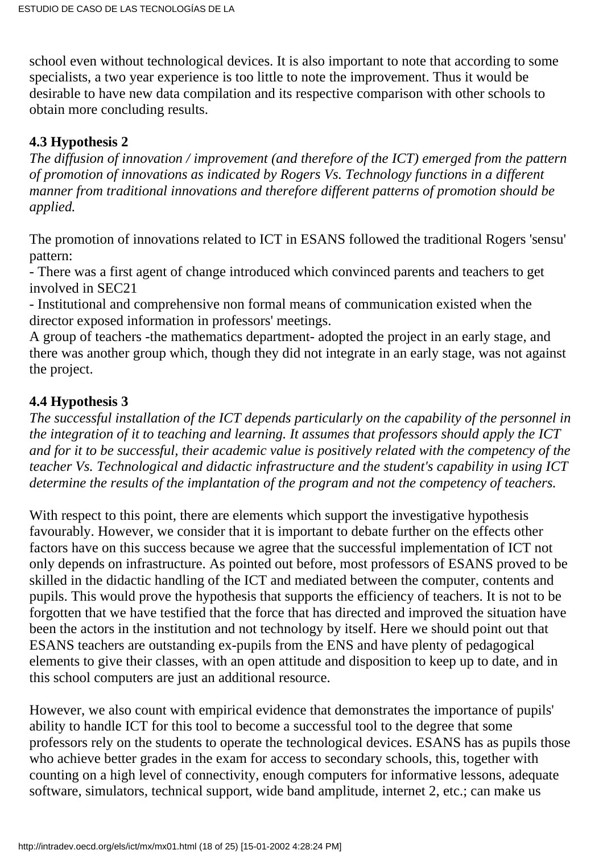school even without technological devices. It is also important to note that according to some specialists, a two year experience is too little to note the improvement. Thus it would be desirable to have new data compilation and its respective comparison with other schools to obtain more concluding results.

### **4.3 Hypothesis 2**

*The diffusion of innovation / improvement (and therefore of the ICT) emerged from the pattern of promotion of innovations as indicated by Rogers Vs. Technology functions in a different manner from traditional innovations and therefore different patterns of promotion should be applied.*

The promotion of innovations related to ICT in ESANS followed the traditional Rogers 'sensu' pattern:

- There was a first agent of change introduced which convinced parents and teachers to get involved in SEC21

- Institutional and comprehensive non formal means of communication existed when the director exposed information in professors' meetings.

A group of teachers -the mathematics department- adopted the project in an early stage, and there was another group which, though they did not integrate in an early stage, was not against the project.

### **4.4 Hypothesis 3**

*The successful installation of the ICT depends particularly on the capability of the personnel in the integration of it to teaching and learning. It assumes that professors should apply the ICT and for it to be successful, their academic value is positively related with the competency of the teacher Vs. Technological and didactic infrastructure and the student's capability in using ICT determine the results of the implantation of the program and not the competency of teachers.*

With respect to this point, there are elements which support the investigative hypothesis favourably. However, we consider that it is important to debate further on the effects other factors have on this success because we agree that the successful implementation of ICT not only depends on infrastructure. As pointed out before, most professors of ESANS proved to be skilled in the didactic handling of the ICT and mediated between the computer, contents and pupils. This would prove the hypothesis that supports the efficiency of teachers. It is not to be forgotten that we have testified that the force that has directed and improved the situation have been the actors in the institution and not technology by itself. Here we should point out that ESANS teachers are outstanding ex-pupils from the ENS and have plenty of pedagogical elements to give their classes, with an open attitude and disposition to keep up to date, and in this school computers are just an additional resource.

However, we also count with empirical evidence that demonstrates the importance of pupils' ability to handle ICT for this tool to become a successful tool to the degree that some professors rely on the students to operate the technological devices. ESANS has as pupils those who achieve better grades in the exam for access to secondary schools, this, together with counting on a high level of connectivity, enough computers for informative lessons, adequate software, simulators, technical support, wide band amplitude, internet 2, etc.; can make us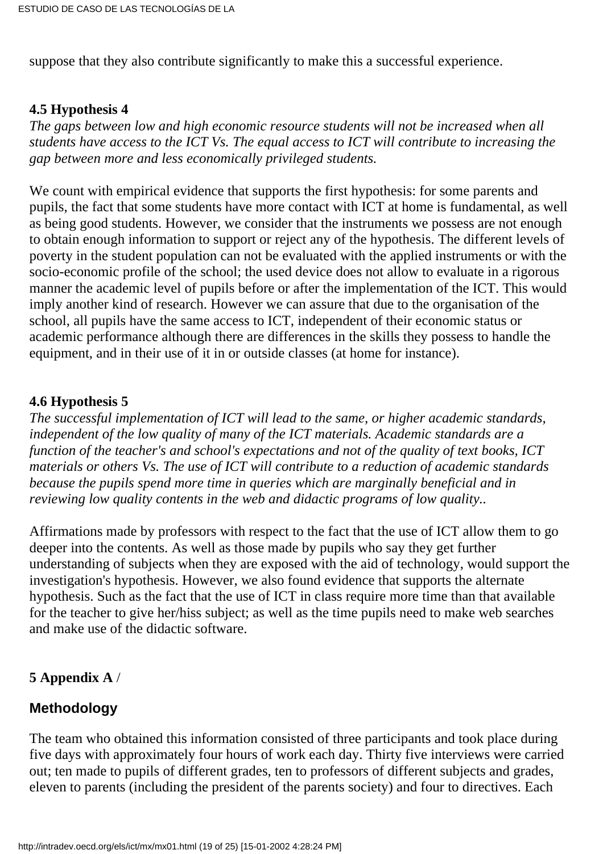suppose that they also contribute significantly to make this a successful experience.

### **4.5 Hypothesis 4**

*The gaps between low and high economic resource students will not be increased when all students have access to the ICT Vs. The equal access to ICT will contribute to increasing the gap between more and less economically privileged students.*

We count with empirical evidence that supports the first hypothesis: for some parents and pupils, the fact that some students have more contact with ICT at home is fundamental, as well as being good students. However, we consider that the instruments we possess are not enough to obtain enough information to support or reject any of the hypothesis. The different levels of poverty in the student population can not be evaluated with the applied instruments or with the socio-economic profile of the school; the used device does not allow to evaluate in a rigorous manner the academic level of pupils before or after the implementation of the ICT. This would imply another kind of research. However we can assure that due to the organisation of the school, all pupils have the same access to ICT, independent of their economic status or academic performance although there are differences in the skills they possess to handle the equipment, and in their use of it in or outside classes (at home for instance).

### **4.6 Hypothesis 5**

*The successful implementation of ICT will lead to the same, or higher academic standards, independent of the low quality of many of the ICT materials. Academic standards are a function of the teacher's and school's expectations and not of the quality of text books, ICT materials or others Vs. The use of ICT will contribute to a reduction of academic standards because the pupils spend more time in queries which are marginally beneficial and in reviewing low quality contents in the web and didactic programs of low quality..*

Affirmations made by professors with respect to the fact that the use of ICT allow them to go deeper into the contents. As well as those made by pupils who say they get further understanding of subjects when they are exposed with the aid of technology, would support the investigation's hypothesis. However, we also found evidence that supports the alternate hypothesis. Such as the fact that the use of ICT in class require more time than that available for the teacher to give her/hiss subject; as well as the time pupils need to make web searches and make use of the didactic software.

### **5 Appendix A** /

### **Methodology**

The team who obtained this information consisted of three participants and took place during five days with approximately four hours of work each day. Thirty five interviews were carried out; ten made to pupils of different grades, ten to professors of different subjects and grades, eleven to parents (including the president of the parents society) and four to directives. Each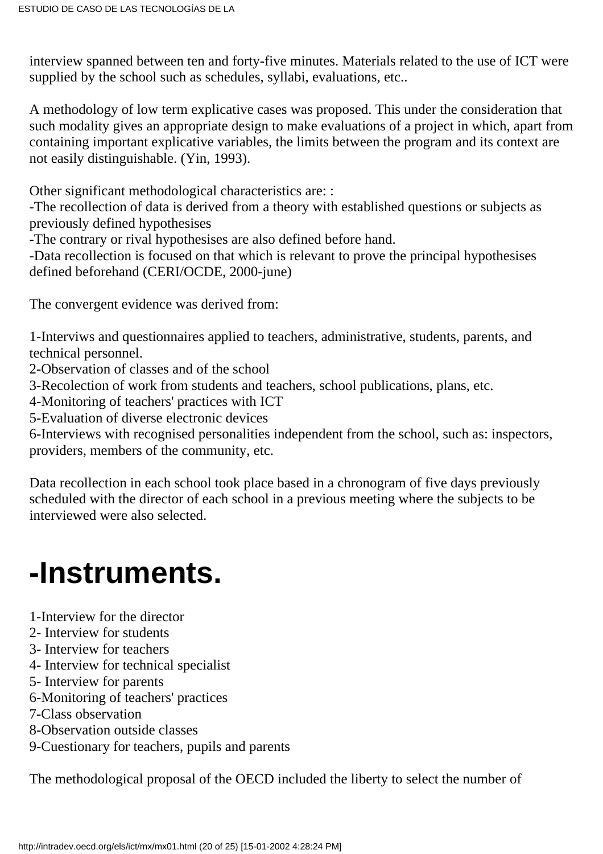interview spanned between ten and forty-five minutes. Materials related to the use of ICT were supplied by the school such as schedules, syllabi, evaluations, etc..

A methodology of low term explicative cases was proposed. This under the consideration that such modality gives an appropriate design to make evaluations of a project in which, apart from containing important explicative variables, the limits between the program and its context are not easily distinguishable. (Yin, 1993).

Other significant methodological characteristics are: :

-The recollection of data is derived from a theory with established questions or subjects as previously defined hypothesises

-The contrary or rival hypothesises are also defined before hand.

-Data recollection is focused on that which is relevant to prove the principal hypothesises defined beforehand (CERI/OCDE, 2000-june)

The convergent evidence was derived from:

1-Interviws and questionnaires applied to teachers, administrative, students, parents, and technical personnel.

2-Observation of classes and of the school

3-Recolection of work from students and teachers, school publications, plans, etc.

4-Monitoring of teachers' practices with ICT

5-Evaluation of diverse electronic devices

6-Interviews with recognised personalities independent from the school, such as: inspectors, providers, members of the community, etc.

Data recollection in each school took place based in a chronogram of five days previously scheduled with the director of each school in a previous meeting where the subjects to be interviewed were also selected.

### **-Instruments.**

1-Interview for the director

- 2- Interview for students
- 3- Interview for teachers
- 4- Interview for technical specialist
- 5- Interview for parents
- 6-Monitoring of teachers' practices
- 7-Class observation
- 8-Observation outside classes
- 9-Cuestionary for teachers, pupils and parents

The methodological proposal of the OECD included the liberty to select the number of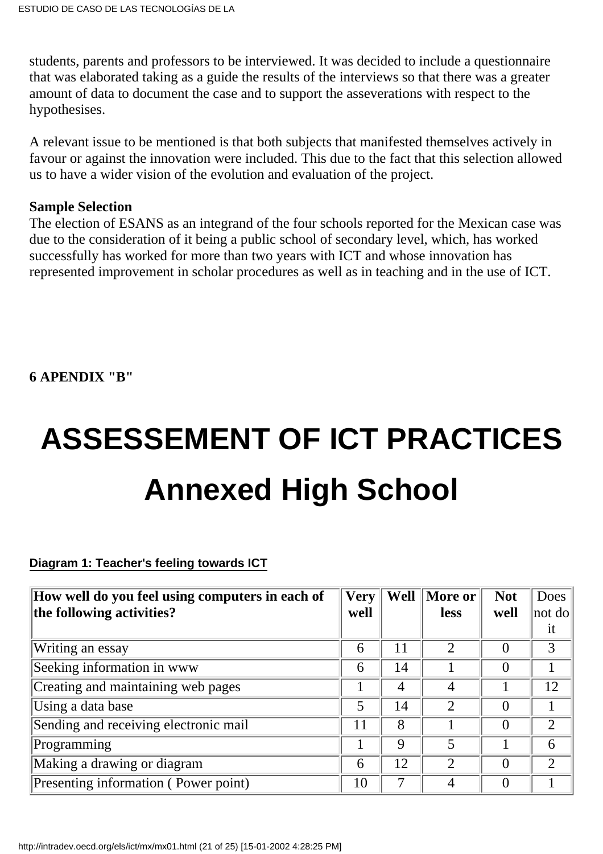students, parents and professors to be interviewed. It was decided to include a questionnaire that was elaborated taking as a guide the results of the interviews so that there was a greater amount of data to document the case and to support the asseverations with respect to the hypothesises.

A relevant issue to be mentioned is that both subjects that manifested themselves actively in favour or against the innovation were included. This due to the fact that this selection allowed us to have a wider vision of the evolution and evaluation of the project.

### **Sample Selection**

The election of ESANS as an integrand of the four schools reported for the Mexican case was due to the consideration of it being a public school of secondary level, which, has worked successfully has worked for more than two years with ICT and whose innovation has represented improvement in scholar procedures as well as in teaching and in the use of ICT.

**6 APENDIX "B"**

# **ASSESSEMENT OF ICT PRACTICES Annexed High School**

**Diagram 1: Teacher's feeling towards ICT**

| How well do you feel using computers in each of | Very | Well | $\parallel$ More or $\parallel$ | <b>Not</b> | Does           |
|-------------------------------------------------|------|------|---------------------------------|------------|----------------|
| the following activities?                       | well |      | less                            | well       | $ not \, do $  |
|                                                 |      |      |                                 |            | it             |
| Writing an essay                                | 6    | 11   | $\mathcal{D}_{\mathcal{L}}$     |            | 3              |
| Seeking information in www                      | 6    | 14   |                                 |            |                |
| Creating and maintaining web pages              |      | 4    |                                 |            | 12             |
| Using a data base                               | 5    | 14   | $\mathcal{D}_{\mathcal{L}}$     |            |                |
| Sending and receiving electronic mail           | 11   | 8    |                                 |            | $\overline{2}$ |
| Programming                                     |      | 9    |                                 |            | 6              |
| Making a drawing or diagram                     | 6    | 12   | $\overline{2}$                  |            | $\mathfrak{D}$ |
| Presenting information (Power point)            | 10   |      |                                 |            |                |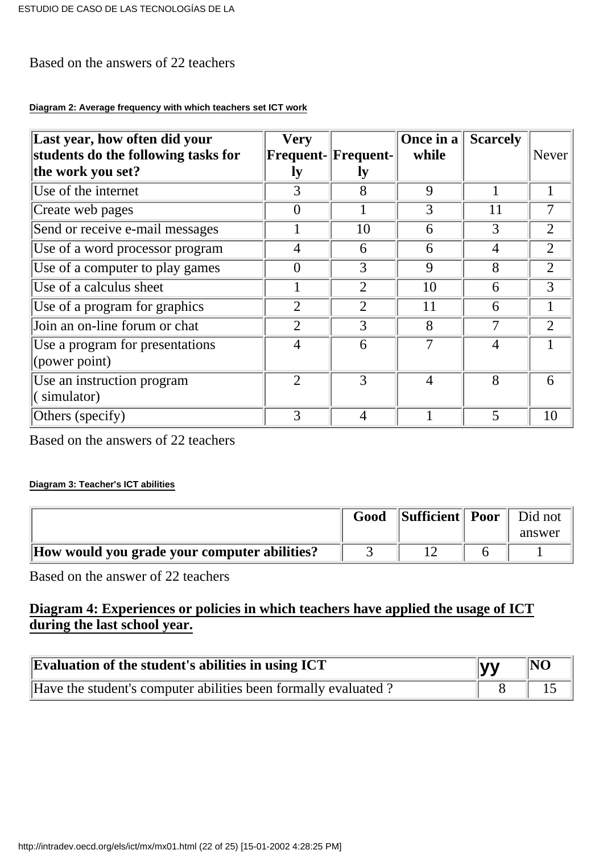### Based on the answers of 22 teachers

#### **Diagram 2: Average frequency with which teachers set ICT work**

| Last year, how often did your       | <b>Very</b>    |                           | Once in a      | <b>Scarcely</b> |                |
|-------------------------------------|----------------|---------------------------|----------------|-----------------|----------------|
| students do the following tasks for |                | <b>Frequent-Frequent-</b> | while          |                 | <b>Never</b>   |
| the work you set?                   | <b>ly</b>      | <b>ly</b>                 |                |                 |                |
| Use of the internet                 | 3              | 8                         | 9              |                 |                |
| Create web pages                    | $\overline{0}$ |                           | 3              | 11              | 7              |
| Send or receive e-mail messages     |                | 10                        | 6              | 3               | $\overline{2}$ |
| Use of a word processor program     | $\overline{4}$ | 6                         | 6              | $\overline{4}$  | $\overline{2}$ |
| Use of a computer to play games     | $\theta$       | 3                         | 9              | 8               | $\overline{2}$ |
| Use of a calculus sheet             |                | $\overline{2}$            | 10             | 6               | 3              |
| Use of a program for graphics       | $\overline{2}$ | $\overline{2}$            | 11             | 6               |                |
| Join an on-line forum or chat       | $\overline{2}$ | 3                         | 8              |                 | $\overline{2}$ |
| Use a program for presentations     | $\overline{4}$ | 6                         | 7              | $\overline{4}$  |                |
| (power point)                       |                |                           |                |                 |                |
| Use an instruction program          | $\overline{2}$ | 3                         | $\overline{4}$ | 8               | 6              |
| $\left($ simulator)                 |                |                           |                |                 |                |
| Others (specify)                    | 3              | 4                         |                | 5               | 10             |

Based on the answers of 22 teachers

#### **Diagram 3: Teacher's ICT abilities**

|                                              | Good | $\ $ Sufficient $\ $ Poor | Did not<br>answer |
|----------------------------------------------|------|---------------------------|-------------------|
| How would you grade your computer abilities? |      |                           |                   |

Based on the answer of 22 teachers

### **Diagram 4: Experiences or policies in which teachers have applied the usage of ICT during the last school year.**

| Evaluation of the student's abilities in using ICT             | NO<br><u> yy</u> |  |
|----------------------------------------------------------------|------------------|--|
| Have the student's computer abilities been formally evaluated? |                  |  |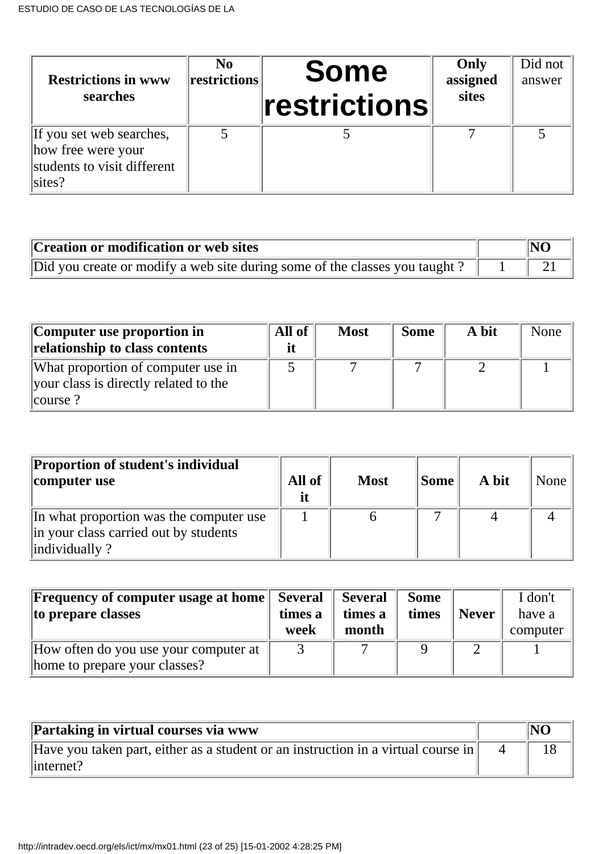| <b>Restrictions in www</b><br>searches                                                           | N <sub>0</sub><br>restrictions | <b>Some</b><br><b>restrictions</b> | Only<br>assigned<br>sites | Did not<br>answer |
|--------------------------------------------------------------------------------------------------|--------------------------------|------------------------------------|---------------------------|-------------------|
| If you set web searches,<br>how free were your<br>students to visit different<br>$\text{sites?}$ |                                |                                    |                           |                   |

| Creation or modification or web sites                                                   | $\overline{\mathbf{N}}$ |
|-----------------------------------------------------------------------------------------|-------------------------|
| Did you create or modify a web site during some of the classes you taught ? $\parallel$ |                         |

| Computer use proportion in<br>relationship to class contents | All of<br>it | <b>Most</b> | <b>Some</b> | A bit | None |
|--------------------------------------------------------------|--------------|-------------|-------------|-------|------|
| What proportion of computer use in                           |              |             |             |       |      |
| your class is directly related to the                        |              |             |             |       |      |
| $ course$ ?                                                  |              |             |             |       |      |

| Proportion of student's individual<br>computer use                                                | All of<br>it | <b>Most</b> | Some | A bit | None |
|---------------------------------------------------------------------------------------------------|--------------|-------------|------|-------|------|
| In what proportion was the computer use<br>in your class carried out by students<br>individually? |              |             |      |       |      |

| <b>Frequency of computer usage at home</b> Several<br>to prepare classes | times a<br>week | <b>Several</b><br>times a<br>month | <b>Some</b><br>times | <b>Never</b> | I don't<br>have a<br>computer |
|--------------------------------------------------------------------------|-----------------|------------------------------------|----------------------|--------------|-------------------------------|
| How often do you use your computer at<br>home to prepare your classes?   |                 |                                    |                      |              |                               |

| Partaking in virtual courses via www                                                                       | NC |
|------------------------------------------------------------------------------------------------------------|----|
| Have you taken part, either as a student or an instruction in a virtual course in<br>$\parallel$ internet? |    |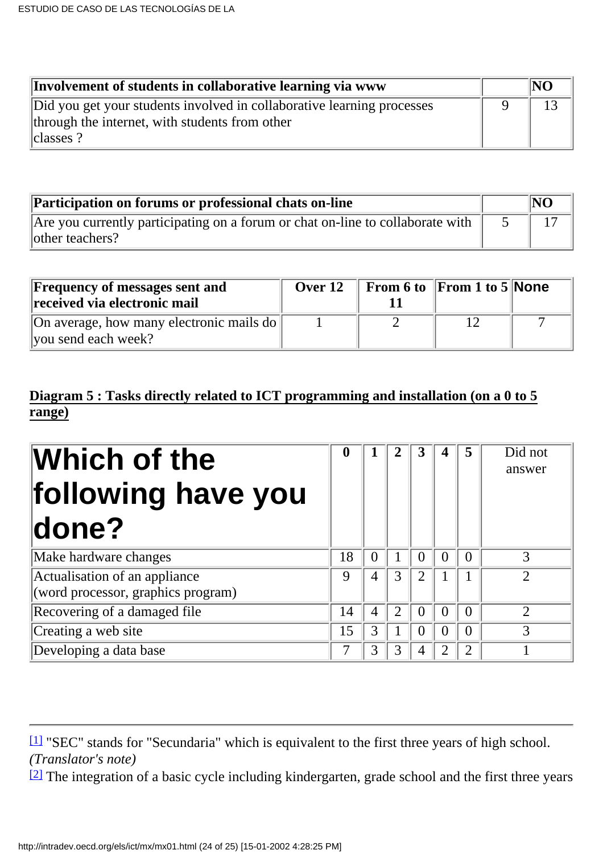| Involvement of students in collaborative learning via www                                                                            | NO |
|--------------------------------------------------------------------------------------------------------------------------------------|----|
| Did you get your students involved in collaborative learning processes<br>through the internet, with students from other<br>classes? |    |

| <b>Participation on forums or professional chats on-line</b>                   | NO |
|--------------------------------------------------------------------------------|----|
| Are you currently participating on a forum or chat on-line to collaborate with |    |
| other teachers?                                                                |    |

| <b>Frequency of messages sent and</b><br>received via electronic mail | Over $12$ | <b>From 6 to From 1 to 5 None</b> |  |
|-----------------------------------------------------------------------|-----------|-----------------------------------|--|
| On average, how many electronic mails do<br>you send each week?       |           |                                   |  |

### **Diagram 5 : Tasks directly related to ICT programming and installation (on a 0 to 5 range)**

| <b>Which of the</b><br>following have you<br> done?                          |    |   |                |              |          | Did not<br>answer |
|------------------------------------------------------------------------------|----|---|----------------|--------------|----------|-------------------|
| Make hardware changes                                                        | 18 | O |                |              |          | 3                 |
| Actualisation of an appliance<br>$\alpha$ (word processor, graphics program) | 9  | 4 | 3              |              |          |                   |
| Recovering of a damaged file                                                 | 14 | 4 | $\overline{2}$ | $\mathbf{U}$ | $\Omega$ | $\overline{2}$    |
| Creating a web site                                                          | 15 |   |                |              | 0        | 3                 |
| Developing a data base                                                       |    |   |                |              | っ        |                   |

<span id="page-23-0"></span>[\[1\]](#page-2-0) "SEC" stands for "Secundaria" which is equivalent to the first three years of high school. *(Translator's note)*

<span id="page-23-1"></span>[\[2\]](#page-5-0) The integration of a basic cycle including kindergarten, grade school and the first three years